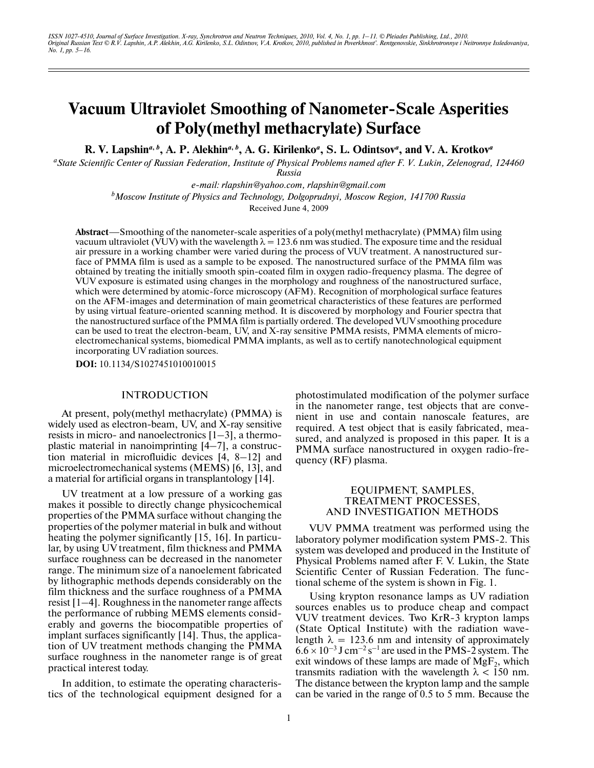# **Vacuum Ultraviolet Smoothing of Nanometer-Scale Asperities of Poly(methyl methacrylate) Surface**

**R. V. Lapshin***<sup>a</sup>***,** *<sup>b</sup>* **, A. P. Alekhin***<sup>a</sup>***,** *<sup>b</sup>* **, A. G. Kirilenko***<sup>a</sup>* **, S. L. Odintsov***<sup>a</sup>* **, and V. A. Krotkov***<sup>a</sup>*

*a State Scientific Center of Russian Federation, Institute of Physical Problems named after F. V. Lukin, Zelenograd, 124460 Russia*

*e-mail: rlapshin@yahoo.com, rlapshin@gmail.com*

*b Moscow Institute of Physics and Technology, Dolgoprudnyi, Moscow Region, 141700 Russia*

Received June 4, 2009

**Abstract**—Smoothing of the nanometer-scale asperities of a poly(methyl methacrylate) (PMMA) film using vacuum ultraviolet (VUV) with the wavelength  $\lambda = 123.6$  nm was studied. The exposure time and the residual air pressure in a working chamber were varied during the process of VUV treatment. A nanostructured sur face of PMMA film is used as a sample to be exposed. The nanostructured surface of the PMMA film was obtained by treating the initially smooth spin-coated film in oxygen radio-frequency plasma. The degree of VUV exposure is estimated using changes in the morphology and roughness of the nanostructured surface, which were determined by atomic-force microscopy (AFM). Recognition of morphological surface features on the AFM-images and determination of main geometrical characteristics of these features are performed by using virtual feature-oriented scanning method. It is discovered by morphology and Fourier spectra that the nanostructured surface of the PMMA film is partially ordered. The developed VUV smoothing procedure can be used to treat the electron-beam, UV, and X-ray sensitive PMMA resists, PMMA elements of microelectromechanical systems, biomedical PMMA implants, as well as to certify nanotechnological equipment incorporating UV radiation sources.

**DOI:** 10.1134/S1027451010010015

### INTRODUCTION

At present, poly(methyl methacrylate) (PMMA) is widely used as electron-beam, UV, and X-ray sensitive resists in micro- and nanoelectronics [1–3], a thermo plastic material in nanoimprinting [4–7], a construc tion material in microfluidic devices [4, 8–12] and microelectromechanical systems (MEMS) [6, 13], and a material for artificial organs in transplantology [14].

UV treatment at a low pressure of a working gas makes it possible to directly change physicochemical properties of the PMMA surface without changing the properties of the polymer material in bulk and without heating the polymer significantly [15, 16]. In particu lar, by using UV treatment, film thickness and PMMA surface roughness can be decreased in the nanometer range. The minimum size of a nanoelement fabricated by lithographic methods depends considerably on the film thickness and the surface roughness of a PMMA resist [1–4]. Roughness in the nanometer range affects the performance of rubbing MEMS elements consid erably and governs the biocompatible properties of implant surfaces significantly [14]. Thus, the applica tion of UV treatment methods changing the PMMA surface roughness in the nanometer range is of great practical interest today.

In addition, to estimate the operating characteris tics of the technological equipment designed for a photostimulated modification of the polymer surface in the nanometer range, test objects that are conve nient in use and contain nanoscale features, are required. A test object that is easily fabricated, mea sured, and analyzed is proposed in this paper. It is a PMMA surface nanostructured in oxygen radio-fre quency (RF) plasma.

# EQUIPMENT, SAMPLES, TREATMENT PROCESSES, AND INVESTIGATION METHODS

VUV PMMA treatment was performed using the laboratory polymer modification system PMS-2. This system was developed and produced in the Institute of Physical Problems named after F. V. Lukin, the State Scientific Center of Russian Federation. The func tional scheme of the system is shown in Fig. 1.

Using krypton resonance lamps as UV radiation sources enables us to produce cheap and compact VUV treatment devices. Two KrR-3 krypton lamps (State Optical Institute) with the radiation wave length  $\lambda = 123.6$  nm and intensity of approximately  $6.6 \times 10^{-3}$  J cm<sup>-2</sup> s<sup>-1</sup> are used in the PMS-2 system. The exit windows of these lamps are made of  $MgF_2$ , which transmits radiation with the wavelength  $\lambda$  < 150 nm. The distance between the krypton lamp and the sample can be varied in the range of 0.5 to 5 mm. Because the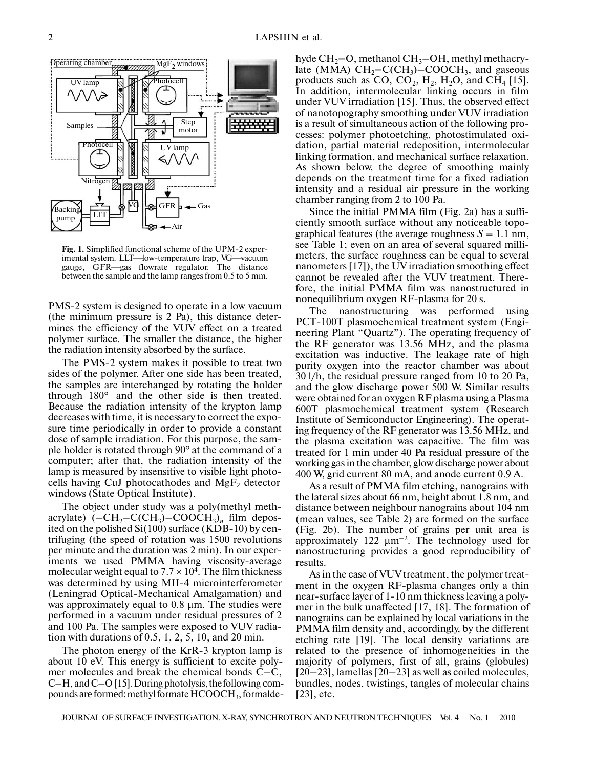

**Fig. 1.** Simplified functional scheme of the UPM-2 exper- Fig. 1. Simplified functional scheme of the UPM-2 experimental system. LLT—low-temperature trap, VG—vacuum gauge, GFR—gas flowrate regulator. The distance between the sample and the lamp ranges from 0.5 to 5 mm.

PMS-2 system is designed to operate in a low vacuum (the minimum pressure is 2 Pa), this distance deter mines the efficiency of the VUV effect on a treated polymer surface. The smaller the distance, the higher the radiation intensity absorbed by the surface.

The PMS-2 system makes it possible to treat two sides of the polymer. After one side has been treated, the samples are interchanged by rotating the holder through 180° and the other side is then treated. Because the radiation intensity of the krypton lamp decreases with time, it is necessary to correct the expo sure time periodically in order to provide a constant dose of sample irradiation. For this purpose, the sam ple holder is rotated through 90° at the command of a computer; after that, the radiation intensity of the lamp is measured by insensitive to visible light photo cells having CuJ photocathodes and  $MgF<sub>2</sub>$  detector windows (State Optical Institute).

The object under study was a poly(methyl meth acrylate)  $(-CH_2-C(CH_3)-COOCH_3)_n$  film deposited on the polished Si(100) surface (KDB-10) by cen trifuging (the speed of rotation was 1500 revolutions per minute and the duration was 2 min). In our exper iments we used PMMA having viscosity-average molecular weight equal to  $7.7 \times 10^4$ . The film thickness was determined by using MII-4 microinterferometer (Leningrad Optical-Mechanical Amalgamation) and was approximately equal to 0.8 μm. The studies were performed in a vacuum under residual pressures of 2 and 100 Pa. The samples were exposed to VUV radia tion with durations of 0.5, 1, 2, 5, 10, and 20 min.

The photon energy of the KrR-3 krypton lamp is about 10 eV. This energy is sufficient to excite poly mer molecules and break the chemical bonds C–C, C–H, and C–O [15]. During photolysis, the following compounds are formed: methyl formate  $\mathrm{HCOOCH}_3$ , formalde-

hyde  $\text{CH}_2=\text{O}$ , methanol  $\text{CH}_3-\text{OH}$ , methyl methacrylate (MMA)  $CH_2=C(CH_3)-COOCH_3$ , and gaseous products such as  $CO$ ,  $CO<sub>2</sub>$ , H<sub>2</sub>, H<sub>2</sub>O, and CH<sub>4</sub> [15]. In addition, intermolecular linking occurs in film under VUV irradiation [15]. Thus, the observed effect of nanotopography smoothing under VUV irradiation is a result of simultaneous action of the following pro cesses: polymer photoetching, photostimulated oxi dation, partial material redeposition, intermolecular linking formation, and mechanical surface relaxation. As shown below, the degree of smoothing mainly depends on the treatment time for a fixed radiation intensity and a residual air pressure in the working chamber ranging from 2 to 100 Pa.

Since the initial PMMA film (Fig. 2a) has a suffi ciently smooth surface without any noticeable topo graphical features (the average roughness  $S = 1.1$  nm, see Table 1; even on an area of several squared milli meters, the surface roughness can be equal to several nanometers [17]), the UV irradiation smoothing effect cannot be revealed after the VUV treatment. There fore, the initial PMMA film was nanostructured in nonequilibrium oxygen RF-plasma for 20 s.

The nanostructuring was performed using PCT-100T plasmochemical treatment system (Engi neering Plant "Quartz"). The operating frequency of the RF generator was 13.56 MHz, and the plasma excitation was inductive. The leakage rate of high purity oxygen into the reactor chamber was about 30 l/h, the residual pressure ranged from 10 to 20 Pa, and the glow discharge power 500 W. Similar results were obtained for an oxygen RF plasma using a Plasma 600T plasmochemical treatment system (Research Institute of Semiconductor Engineering). The operat ing frequency of the RF generator was 13.56 MHz, and the plasma excitation was capacitive. The film was treated for 1 min under 40 Pa residual pressure of the working gas in the chamber, glow discharge power about 400 W, grid current 80 mA, and anode current 0.9 A.

As a result of PMMA film etching, nanograins with the lateral sizes about 66 nm, height about 1.8 nm, and distance between neighbour nanograins about 104 nm (mean values, see Table 2) are formed on the surface (Fig. 2b). The number of grains per unit area is approximately 122  $μm<sup>-2</sup>$ . The technology used for nanostructuring provides a good reproducibility of results.

As in the case of VUV treatment, the polymer treat ment in the oxygen RF-plasma changes only a thin near-surface layer of 1-10 nm thickness leaving a poly mer in the bulk unaffected [17, 18]. The formation of nanograins can be explained by local variations in the PMMA film density and, accordingly, by the different etching rate [19]. The local density variations are related to the presence of inhomogeneities in the majority of polymers, first of all, grains (globules) [20–23], lamellas [20–23] as well as coiled molecules, bundles, nodes, twistings, tangles of molecular chains [23], etc.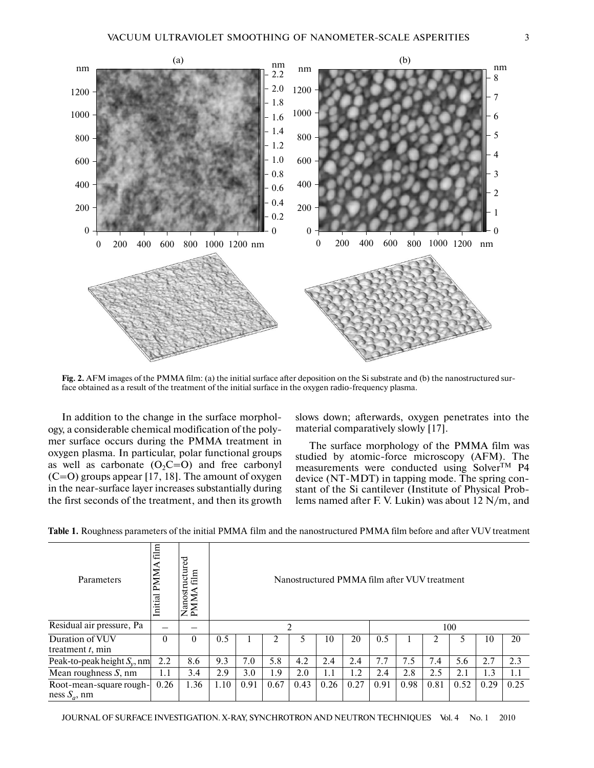

**Fig. 2.** AFM images of the PMMA film: (a) the initial surface after deposition on the Si substrate and (b) the nanostructured sur face obtained as a result of the treatment of the initial surface in the oxygen radio-frequency plasma.

In addition to the change in the surface morphol ogy, a considerable chemical modification of the poly mer surface occurs during the PMMA treatment in oxygen plasma. In particular, polar functional groups as well as carbonate  $(O_2C=O)$  and free carbonyl (C=O) groups appear [17, 18]. The amount of oxygen in the near-surface layer increases substantially during the first seconds of the treatment, and then its growth slows down; afterwards, oxygen penetrates into the material comparatively slowly [17].

The surface morphology of the PMMA film was studied by atomic-force microscopy (AFM). The measurements were conducted using Solver<sup>TM</sup> P4 device (NT-MDT) in tapping mode. The spring con stant of the Si cantilever (Institute of Physical Prob lems named after F. V. Lukin) was about 12 N/m, and

| Parameters                                 | film<br><b>PMMA</b><br>Initial | uctured<br>${\rm film}$<br>$rac{1}{2}$<br>◀<br><b>NNN</b><br>ā | Nanostructured PMMA film after VUV treatment |      |      |      |      |      |      |      |      |      |      |      |  |  |
|--------------------------------------------|--------------------------------|----------------------------------------------------------------|----------------------------------------------|------|------|------|------|------|------|------|------|------|------|------|--|--|
| Residual air pressure, Pa                  |                                |                                                                | ി                                            |      |      |      |      |      |      | 100  |      |      |      |      |  |  |
| Duration of VUV<br>treatment $t$ , min     | $\theta$                       | $\Omega$                                                       | 0.5                                          |      | ∍    | 5    | 10   | 20   | 0.5  |      | 2    |      | 10   | 20   |  |  |
| Peak-to-peak height $S_v$ , nm             | 2.2                            | 8.6                                                            | 9.3                                          | 7.0  | 5.8  | 4.2  | 2.4  | 2.4  | 7.7  | 7.5  | 7.4  | 5.6  | 2.7  | 2.3  |  |  |
| Mean roughness $S$ , nm                    | 1.1                            | 3.4                                                            | 2.9                                          | 3.0  | 1.9  | 2.0  | 1.1  | 1.2  | 2.4  | 2.8  | 2.5  | 2.1  | 1.3  | 1.1  |  |  |
| Root-mean-square rough-<br>ness $S_a$ , nm | 0.26                           | 1.36                                                           | 1.10                                         | 0.91 | 0.67 | 0.43 | 0.26 | 0.27 | 0.91 | 0.98 | 0.81 | 0.52 | 0.29 | 0.25 |  |  |

**Table 1.** Roughness parameters of the initial PMMA film and the nanostructured PMMA film before and after VUV treatment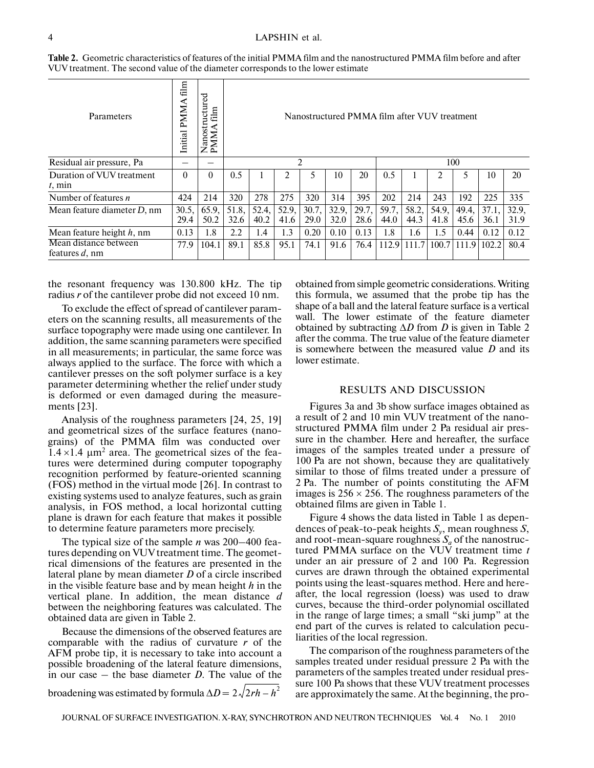| Parameters                              | film<br>PMMA<br>Initial | Nanostructured<br>PMMA film | Nanostructured PMMA film after VUV treatment |               |               |               |               |               |               |               |               |               |               |               |  |  |
|-----------------------------------------|-------------------------|-----------------------------|----------------------------------------------|---------------|---------------|---------------|---------------|---------------|---------------|---------------|---------------|---------------|---------------|---------------|--|--|
| Residual air pressure, Pa               |                         |                             | $\mathfrak{D}$                               |               |               |               |               |               |               | 100           |               |               |               |               |  |  |
| Duration of VUV treatment<br>$t$ , min  | $\Omega$                | 0                           | 0.5                                          |               |               |               | 10            | 20            | 0.5           |               |               |               | 10            | 20            |  |  |
| Number of features $n$                  | 424                     | 214                         | 320                                          | 278           | 275           | 320           | 314           | 395           | 202           | 214           | 243           | 192           | 225           | 335           |  |  |
| Mean feature diameter $D$ , nm          | 30.5.<br>29.4           | 65.9,<br>50.2               | 51.8,<br>32.6                                | 52.4,<br>40.2 | 52.9,<br>41.6 | 30.7,<br>29.0 | 32.9,<br>32.0 | 29.7.<br>28.6 | 59.7,<br>44.0 | 58.2,<br>44.3 | 54.9,<br>41.8 | 49.4,<br>45.6 | 37.1,<br>36.1 | 32.9,<br>31.9 |  |  |
| Mean feature height $h$ , nm            | 0.13                    | 1.8                         | 2.2                                          | 1.4           | 1.3           | 0.20          | 0.10          | 0.13          | 1.8           | 1.6           | 1.5           | 0.44          | 0.12          | 0.12          |  |  |
| Mean distance between<br>features d, nm | 77.9                    | 104.1                       | 89.1                                         | 85.8          | 95.1          | 74.1          | 91.6          | 76.4          | 112.9         | 111.7         | 100.7         | 111.9         | 102.2         | 80.4          |  |  |

**Table 2.** Geometric characteristics of features of the initial PMMA film and the nanostructured PMMA film before and after VUV treatment. The second value of the diameter corresponds to the lower estimate

the resonant frequency was 130.800 kHz. The tip radius *r* of the cantilever probe did not exceed 10 nm.

To exclude the effect of spread of cantilever param eters on the scanning results, all measurements of the surface topography were made using one cantilever. In addition, the same scanning parameters were specified in all measurements; in particular, the same force was always applied to the surface. The force with which a cantilever presses on the soft polymer surface is a key parameter determining whether the relief under study is deformed or even damaged during the measure ments [23].

Analysis of the roughness parameters [24, 25, 19] and geometrical sizes of the surface features (nano grains) of the PMMA film was conducted over  $1.4 \times 1.4 \mu m^2$  area. The geometrical sizes of the features were determined during computer topography recognition performed by feature-oriented scanning (FOS) method in the virtual mode [26]. In contrast to existing systems used to analyze features, such as grain analysis, in FOS method, a local horizontal cutting plane is drawn for each feature that makes it possible to determine feature parameters more precisely.

The typical size of the sample *n* was 200–400 fea tures depending on VUV treatment time. The geomet rical dimensions of the features are presented in the lateral plane by mean diameter *D* of a circle inscribed in the visible feature base and by mean height *h* in the vertical plane. In addition, the mean distance *d* between the neighboring features was calculated. The obtained data are given in Table 2.

Because the dimensions of the observed features are comparable with the radius of curvature *r* of the AFM probe tip, it is necessary to take into account a possible broadening of the lateral feature dimensions, in our case – the base diameter *D*. The value of the broadening was estimated by formula  $\Delta D = 2\sqrt{2rh - h^2}$ 

obtained from simple geometric considerations. Writing this formula, we assumed that the probe tip has the shape of a ball and the lateral feature surface is a vertical wall. The lower estimate of the feature diameter obtained by subtracting Δ*D* from *D* is given in Table 2 after the comma. The true value of the feature diameter is somewhere between the measured value *D* and its lower estimate.

#### RESULTS AND DISCUSSION

Figures 3a and 3b show surface images obtained as a result of 2 and 10 min VUV treatment of the nano structured PMMA film under 2 Pa residual air pres sure in the chamber. Here and hereafter, the surface images of the samples treated under a pressure of 100 Pa are not shown, because they are qualitatively similar to those of films treated under a pressure of 2 Pa. The number of points constituting the AFM images is  $256 \times 256$ . The roughness parameters of the obtained films are given in Table 1.

Figure 4 shows the data listed in Table 1 as depen dences of peak-to-peak heights *Sy*, mean roughness *S*, and root-mean-square roughness  $S_a$  of the nanostructured PMMA surface on the VUV treatment time *t* under an air pressure of 2 and 100 Pa. Regression curves are drawn through the obtained experimental points using the least-squares method. Here and here after, the local regression (loess) was used to draw curves, because the third-order polynomial oscillated in the range of large times; a small "ski jump" at the end part of the curves is related to calculation pecu liarities of the local regression.

The comparison of the roughness parameters of the samples treated under residual pressure 2 Pa with the parameters of the samples treated under residual pres sure 100 Pa shows that these VUV treatment processes are approximately the same. At the beginning, the pro-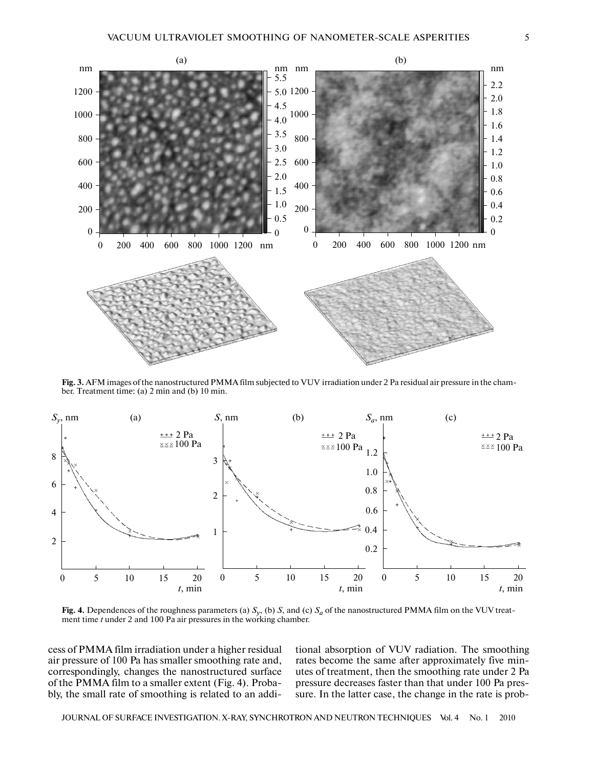

**Fig. 3.** AFM images of the nanostructured PMMA film subjected to VUV irradiation under 2 Pa residual air pressure in the cham ber. Treatment time: (a) 2 min and (b) 10 min.



**Fig. 4.** Dependences of the roughness parameters (a)  $S_y$ , (b) *S*, and (c)  $S_a$  of the nanostructured PMMA film on the VUV treatment time *t* under 2 and 100 Pa air pressures in the working chamber.

cess of PMMA film irradiation under a higher residual air pressure of 100 Pa has smaller smoothing rate and, correspondingly, changes the nanostructured surface of the PMMA film to a smaller extent (Fig. 4). Proba bly, the small rate of smoothing is related to an additional absorption of VUV radiation. The smoothing rates become the same after approximately five min utes of treatment, then the smoothing rate under 2 Pa pressure decreases faster than that under 100 Pa pres sure. In the latter case, the change in the rate is prob-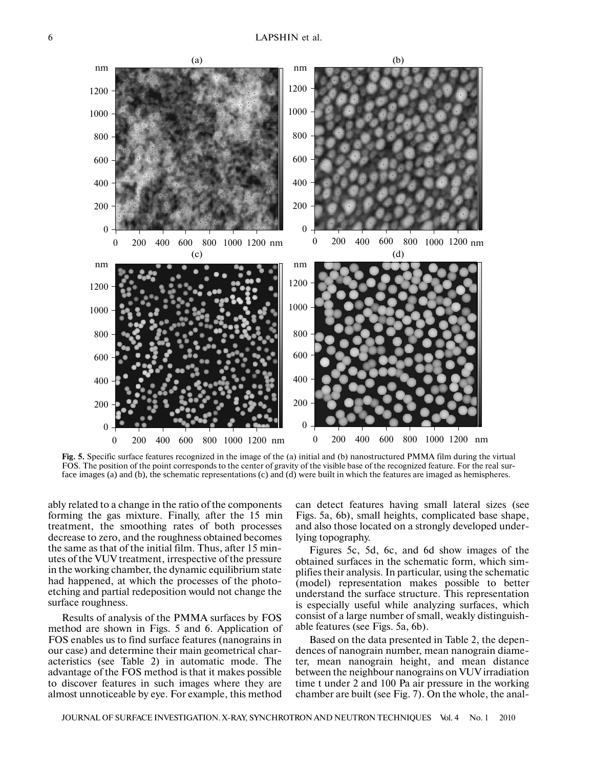

**Fig. 5.** Specific surface features recognized in the image of the (a) initial and (b) nanostructured PMMA film during the virtual FOS. The position of the point corresponds to the center of gravity of the visible base of the recognized feature. For the real surface images (a) and (b), the schematic representations (c) and (d) were built in which the features are imaged as hemispheres.

ably related to a change in the ratio of the components forming the gas mixture. Finally, after the 15 min treatment, the smoothing rates of both processes decrease to zero, and the roughness obtained becomes the same as that of the initial film. Thus, after 15 min utes of the VUV treatment, irrespective of the pressure in the working chamber, the dynamic equilibrium state had happened, at which the processes of the photo etching and partial redeposition would not change the surface roughness.

Results of analysis of the PMMA surfaces by FOS method are shown in Figs. 5 and 6. Application of FOS enables us to find surface features (nanograins in our case) and determine their main geometrical char acteristics (see Table 2) in automatic mode. The advantage of the FOS method is that it makes possible to discover features in such images where they are almost unnoticeable by eye. For example, this method

can detect features having small lateral sizes (see Figs. 5a, 6b), small heights, complicated base shape, and also those located on a strongly developed under lying topography.

Figures 5c, 5d, 6c, and 6d show images of the obtained surfaces in the schematic form, which sim plifies their analysis. In particular, using the schematic (model) representation makes possible to better understand the surface structure. This representation is especially useful while analyzing surfaces, which consist of a large number of small, weakly distinguish able features (see Figs. 5a, 6b).

Based on the data presented in Table 2, the depen dences of nanograin number, mean nanograin diame ter, mean nanograin height, and mean distance between the neighbour nanograins on VUV irradiation time t under 2 and 100 Pa air pressure in the working chamber are built (see Fig. 7). On the whole, the anal-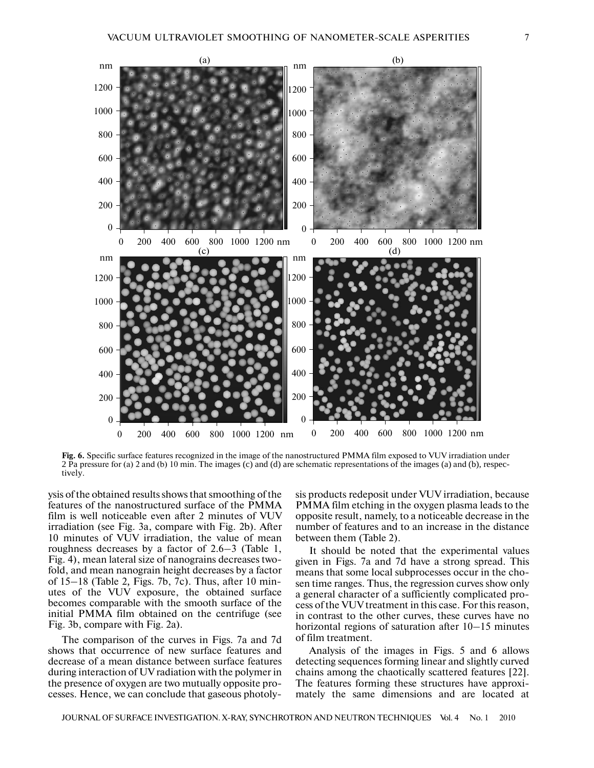

**Fig. 6.** Specific surface features recognized in the image of the nanostructured PMMA film exposed to VUV irradiation under 2 Pa pressure for (a) 2 and (b) 10 min. The images (c) and (d) are schematic representations of the images (a) and (b), respectively.

ysis of the obtained results shows that smoothing of the features of the nanostructured surface of the PMMA film is well noticeable even after 2 minutes of VUV irradiation (see Fig. 3a, compare with Fig. 2b). After 10 minutes of VUV irradiation, the value of mean roughness decreases by a factor of 2.6–3 (Table 1, Fig. 4), mean lateral size of nanograins decreases two fold, and mean nanograin height decreases by a factor of 15–18 (Table 2, Figs. 7b, 7c). Thus, after 10 min utes of the VUV exposure, the obtained surface becomes comparable with the smooth surface of the initial PMMA film obtained on the centrifuge (see Fig. 3b, compare with Fig. 2a).

The comparison of the curves in Figs. 7a and 7d shows that occurrence of new surface features and decrease of a mean distance between surface features during interaction of UV radiation with the polymer in the presence of oxygen are two mutually opposite pro cesses. Hence, we can conclude that gaseous photolysis products redeposit under VUV irradiation, because PMMA film etching in the oxygen plasma leads to the opposite result, namely, to a noticeable decrease in the number of features and to an increase in the distance between them (Table 2).

It should be noted that the experimental values given in Figs. 7a and 7d have a strong spread. This means that some local subprocesses occur in the cho sen time ranges. Thus, the regression curves show only a general character of a sufficiently complicated pro cess of the VUV treatment in this case. For this reason, in contrast to the other curves, these curves have no horizontal regions of saturation after 10–15 minutes of film treatment.

Analysis of the images in Figs. 5 and 6 allows detecting sequences forming linear and slightly curved chains among the chaotically scattered features [22]. The features forming these structures have approxi mately the same dimensions and are located at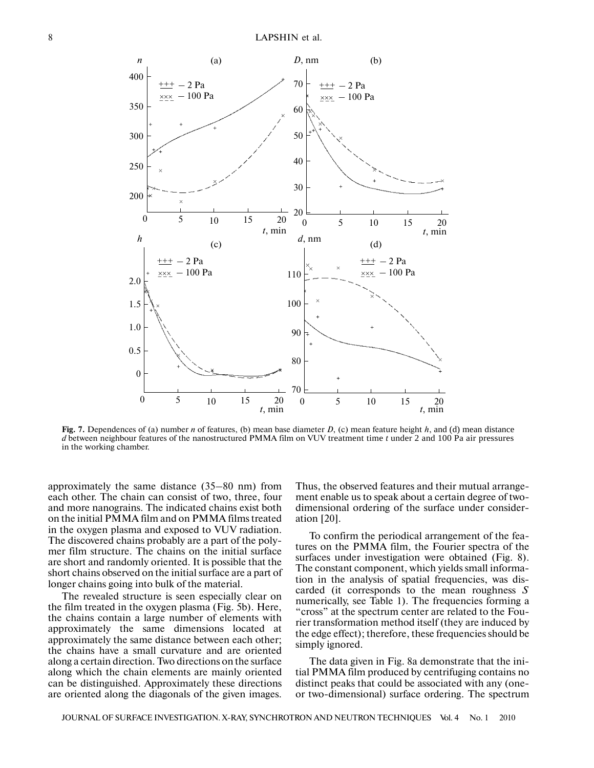

**Fig. 7.** Dependences of (a) number *n* of features, (b) mean base diameter *D*, (c) mean feature height *h*, and (d) mean distance *d* between neighbour features of the nanostructured PMMA film on VUV treatment time *t* under 2 and 100 Pa air pressures in the working chamber.

approximately the same distance (35–80 nm) from each other. The chain can consist of two, three, four and more nanograins. The indicated chains exist both on the initial PMMA film and on PMMA films treated in the oxygen plasma and exposed to VUV radiation. The discovered chains probably are a part of the poly mer film structure. The chains on the initial surface are short and randomly oriented. It is possible that the short chains observed on the initial surface are a part of longer chains going into bulk of the material.

The revealed structure is seen especially clear on the film treated in the oxygen plasma (Fig. 5b). Here, the chains contain a large number of elements with approximately the same dimensions located at approximately the same distance between each other; the chains have a small curvature and are oriented along a certain direction. Two directions on the surface along which the chain elements are mainly oriented can be distinguished. Approximately these directions are oriented along the diagonals of the given images.

Thus, the observed features and their mutual arrange ment enable us to speak about a certain degree of two dimensional ordering of the surface under consider ation [20].

To confirm the periodical arrangement of the fea tures on the PMMA film, the Fourier spectra of the surfaces under investigation were obtained (Fig. 8). The constant component, which yields small informa tion in the analysis of spatial frequencies, was dis carded (it corresponds to the mean roughness *S* numerically, see Table 1). The frequencies forming a "cross" at the spectrum center are related to the Fou rier transformation method itself (they are induced by the edge effect); therefore, these frequencies should be simply ignored.

The data given in Fig. 8a demonstrate that the ini tial PMMA film produced by centrifuging contains no distinct peaks that could be associated with any (one or two-dimensional) surface ordering. The spectrum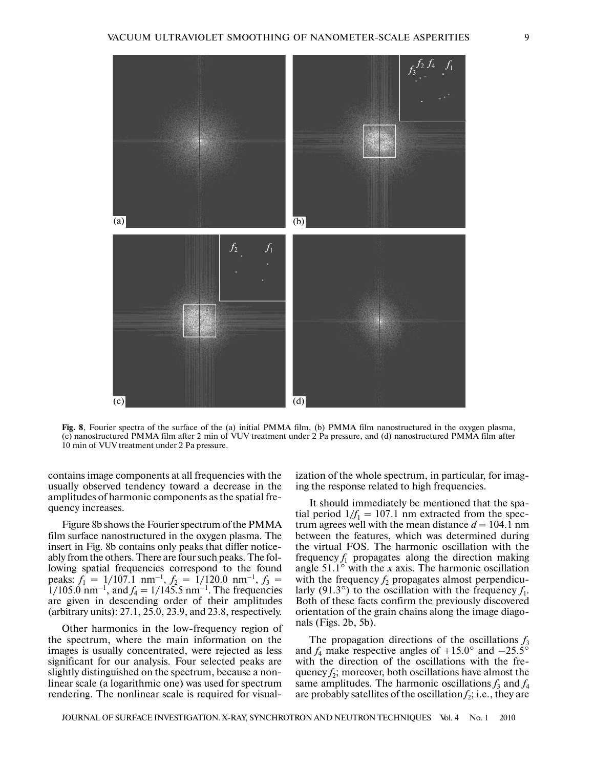

**Fig. 8**, Fourier spectra of the surface of the (a) initial PMMA film, (b) PMMA film nanostructured in the oxygen plasma, (c) nanostructured PMMA film after 2 min of VUV treatment under 2 Pa pressure, and (d) nanostructured PMMA film after 10 min of VUV treatment under 2 Pa pressure.

contains image components at all frequencies with the usually observed tendency toward a decrease in the amplitudes of harmonic components as the spatial fre quency increases.

Figure 8b shows the Fourier spectrum of the PMMA film surface nanostructured in the oxygen plasma. The insert in Fig. 8b contains only peaks that differ notice ably from the others. There are four such peaks. The fol lowing spatial frequencies correspond to the found peaks:  $f_1 = 1/107.1$  nm<sup>-1</sup>,  $f_2 = 1/120.0$  nm<sup>-1</sup>,  $f_3 =$  $1/105.0$  nm<sup>-1</sup>, and  $f_4 = 1/145.5$  nm<sup>-1</sup>. The frequencies are given in descending order of their amplitudes (arbitrary units): 27.1, 25.0, 23.9, and 23.8, respectively.

Other harmonics in the low-frequency region of the spectrum, where the main information on the images is usually concentrated, were rejected as less significant for our analysis. Four selected peaks are slightly distinguished on the spectrum, because a non linear scale (a logarithmic one) was used for spectrum rendering. The nonlinear scale is required for visual-

ization of the whole spectrum, in particular, for imag ing the response related to high frequencies.

It should immediately be mentioned that the spa tial period  $1/f_1 = 107.1$  nm extracted from the spectrum agrees well with the mean distance  $d = 104.1$  nm between the features, which was determined during the virtual FOS. The harmonic oscillation with the frequency  $f_1$  propagates along the direction making angle  $51.1^\circ$  with the *x* axis. The harmonic oscillation with the frequency  $f_2$  propagates almost perpendicularly (91.3°) to the oscillation with the frequency  $f_1$ . Both of these facts confirm the previously discovered orientation of the grain chains along the image diago nals (Figs. 2b, 5b).

The propagation directions of the oscillations  $f_3$ and  $f_4$  make respective angles of  $+15.0^\circ$  and  $-25.5^\circ$ with the direction of the oscillations with the fre quency  $f_2$ ; moreover, both oscillations have almost the same amplitudes. The harmonic oscillations  $f_3$  and  $f_4$ are probably satellites of the oscillation  $f_2$ ; i.e., they are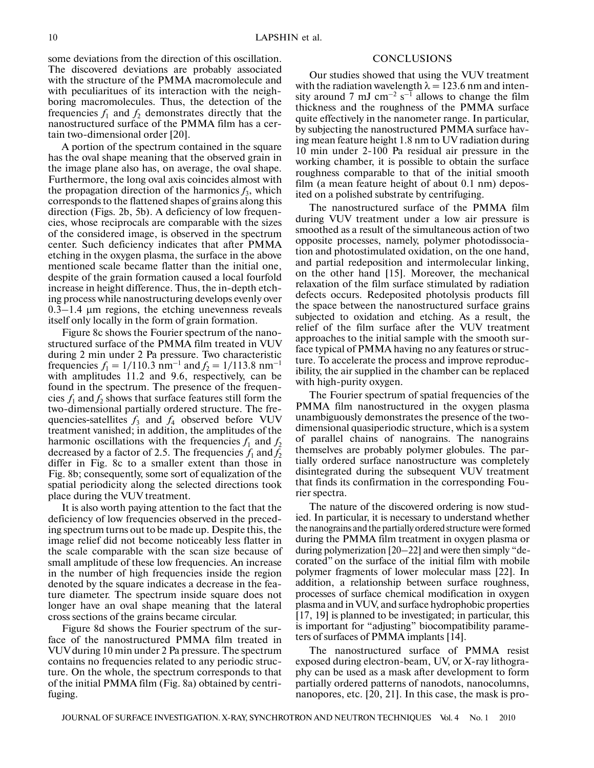some deviations from the direction of this oscillation. The discovered deviations are probably associated with the structure of the PMMA macromolecule and with peculiaritues of its interaction with the neigh boring macromolecules. Thus, the detection of the frequencies  $f_1$  and  $f_2$  demonstrates directly that the nanostructured surface of the PMMA film has a cer tain two-dimensional order [20].

A portion of the spectrum contained in the square has the oval shape meaning that the observed grain in the image plane also has, on average, the oval shape. Furthermore, the long oval axis coincides almost with the propagation direction of the harmonics  $f_3$ , which corresponds to the flattened shapes of grains along this direction (Figs. 2b, 5b). A deficiency of low frequen cies, whose reciprocals are comparable with the sizes of the considered image, is observed in the spectrum center. Such deficiency indicates that after PMMA etching in the oxygen plasma, the surface in the above mentioned scale became flatter than the initial one, despite of the grain formation caused a local fourfold increase in height difference. Thus, the in-depth etch ing process while nanostructuring develops evenly over  $0.3-1.4$  μm regions, the etching unevenness reveals itself only locally in the form of grain formation.

Figure 8c shows the Fourier spectrum of the nanostructured surface of the PMMA film treated in VUV during 2 min under 2 Pa pressure. Two characteristic frequencies  $f_1 = 1/110.3$  nm<sup>-1</sup> and  $f_2 = 1/113.8$  nm<sup>-1</sup> with amplitudes 11.2 and 9.6, respectively, can be found in the spectrum. The presence of the frequen cies  $f_1$  and  $f_2$  shows that surface features still form the two-dimensional partially ordered structure. The fre quencies-satellites  $f_3$  and  $f_4$  observed before VUV treatment vanished; in addition, the amplitudes of the harmonic oscillations with the frequencies  $f_1$  and  $f_2$ decreased by a factor of 2.5. The frequencies  $f_1$  and  $f_2$ differ in Fig. 8c to a smaller extent than those in Fig. 8b; consequently, some sort of equalization of the spatial periodicity along the selected directions took place during the VUV treatment.

It is also worth paying attention to the fact that the deficiency of low frequencies observed in the preced ing spectrum turns out to be made up. Despite this, the image relief did not become noticeably less flatter in the scale comparable with the scan size because of small amplitude of these low frequencies. An increase in the number of high frequencies inside the region denoted by the square indicates a decrease in the fea ture diameter. The spectrum inside square does not longer have an oval shape meaning that the lateral cross sections of the grains became circular.

Figure 8d shows the Fourier spectrum of the sur face of the nanostructured PMMA film treated in VUV during 10 min under 2 Pa pressure. The spectrum contains no frequencies related to any periodic struc ture. On the whole, the spectrum corresponds to that of the initial PMMA film (Fig. 8a) obtained by centri fuging.

# **CONCLUSIONS**

Our studies showed that using the VUV treatment with the radiation wavelength  $\lambda = 123.6$  nm and intensity around 7 mJ cm<sup>-2</sup> s<sup>-1</sup> allows to change the film thickness and the roughness of the PMMA surface quite effectively in the nanometer range. In particular, by subjecting the nanostructured PMMA surface hav ing mean feature height 1.8 nm to UV radiation during 10 min under 2-100 Pa residual air pressure in the working chamber, it is possible to obtain the surface roughness comparable to that of the initial smooth film (a mean feature height of about 0.1 nm) depos ited on a polished substrate by centrifuging.

The nanostructured surface of the PMMA film during VUV treatment under a low air pressure is smoothed as a result of the simultaneous action of two opposite processes, namely, polymer photodissocia tion and photostimulated oxidation, on the one hand, and partial redeposition and intermolecular linking, on the other hand [15]. Moreover, the mechanical relaxation of the film surface stimulated by radiation defects occurs. Redeposited photolysis products fill the space between the nanostructured surface grains subjected to oxidation and etching. As a result, the relief of the film surface after the VUV treatment approaches to the initial sample with the smooth sur face typical of PMMA having no any features or struc ture. To accelerate the process and improve reproduc ibility, the air supplied in the chamber can be replaced with high-purity oxygen.

The Fourier spectrum of spatial frequencies of the PMMA film nanostructured in the oxygen plasma unambiguously demonstrates the presence of the two dimensional quasiperiodic structure, which is a system of parallel chains of nanograins. The nanograins themselves are probably polymer globules. The par tially ordered surface nanostructure was completely disintegrated during the subsequent VUV treatment that finds its confirmation in the corresponding Fou rier spectra.

The nature of the discovered ordering is now stud ied. In particular, it is necessary to understand whether the nanograins and the partially ordered structure were formed during the PMMA film treatment in oxygen plasma or during polymerization [20–22] and were then simply "de corated" on the surface of the initial film with mobile polymer fragments of lower molecular mass [22]. In addition, a relationship between surface roughness, processes of surface chemical modification in oxygen plasma and in VUV, and surface hydrophobic properties [17, 19] is planned to be investigated; in particular, this is important for "adjusting" biocompatibility parame ters of surfaces of PMMA implants [14].

The nanostructured surface of PMMA resist exposed during electron-beam, UV, or X-ray lithogra phy can be used as a mask after development to form partially ordered patterns of nanodots, nanocolumns, nanopores, etc. [20, 21]. In this case, the mask is pro